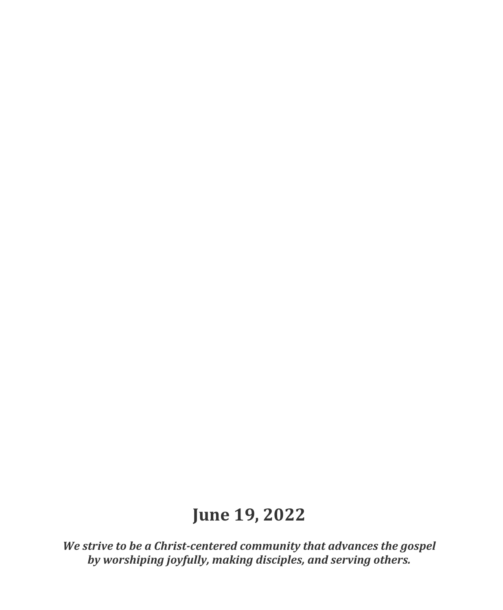# **June 19, 2022**

*We strive to be a Christ-centered community that advances the gospel by worshiping joyfully, making disciples, and serving others.*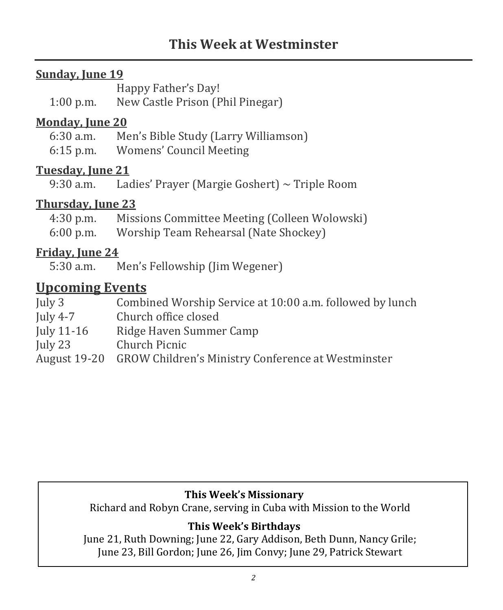## **Sunday, June 19**

 Happy Father's Day! 1:00 p.m. New Castle Prison (Phil Pinegar)

#### **Monday, June 20**

 6:30 a.m. Men's Bible Study (Larry Williamson) 6:15 p.m. Womens' Council Meeting

#### **Tuesday, June 21**

9:30 a.m. Ladies' Prayer (Margie Goshert) ~ Triple Room

## **Thursday, June 23**

 4:30 p.m. Missions Committee Meeting (Colleen Wolowski) 6:00 p.m. Worship Team Rehearsal (Nate Shockey)

#### **Friday, June 24**

5:30 a.m. Men's Fellowship (Jim Wegener)

## **Upcoming Events**

| July $3$     | Combined Worship Service at 10:00 a.m. followed by lunch        |
|--------------|-----------------------------------------------------------------|
| July 4-7     | Church office closed                                            |
| July $11-16$ | Ridge Haven Summer Camp                                         |
| July $23$    | Church Picnic                                                   |
|              | August 19-20 GROW Children's Ministry Conference at Westminster |

#### **This Week's Missionary**

Richard and Robyn Crane, serving in Cuba with Mission to the World

## **This Week's Birthdays**

 June 21, Ruth Downing; June 22, Gary Addison, Beth Dunn, Nancy Grile; June 23, Bill Gordon; June 26, Jim Convy; June 29, Patrick Stewart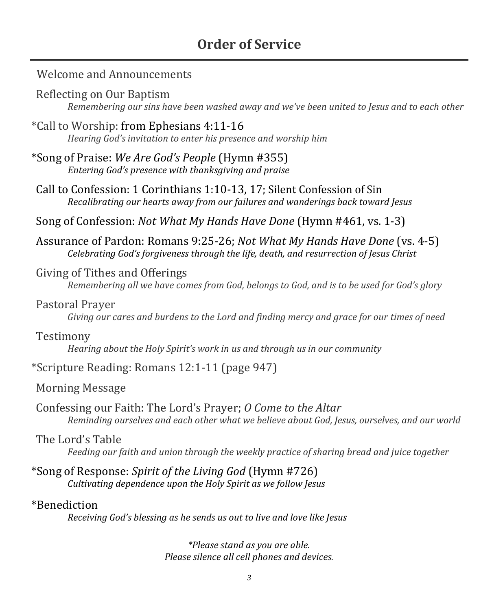## **Order of Service**

#### Welcome and Announcements

- Reflecting on Our Baptism *Remembering our sins have been washed away and we've been united to Jesus and to each other*
- \*Call to Worship: from Ephesians 4:11-16 *Hearing God's invitation to enter his presence and worship him*
- \*Song of Praise: *We Are God's People* (Hymn #355) *Entering God's presence with thanksgiving and praise*
- Call to Confession: 1 Corinthians 1:10-13, 17; Silent Confession of Sin *Recalibrating our hearts away from our failures and wanderings back toward Jesus*
- Song of Confession: *Not What My Hands Have Done* (Hymn #461, vs. 1-3)
- Assurance of Pardon: Romans 9:25-26; *Not What My Hands Have Done* (vs. 4-5) *Celebrating God's forgiveness through the life, death, and resurrection of Jesus Christ*

#### Giving of Tithes and Offerings

*Remembering all we have comes from God, belongs to God, and is to be used for God's glory*

#### Pastoral Prayer

*Giving our cares and burdens to the Lord and finding mercy and grace for our times of need*

#### Testimony

*Hearing about the Holy Spirit's work in us and through us in our community*

#### \*Scripture Reading: Romans 12:1-11 (page 947)

#### Morning Message

Confessing our Faith: The Lord's Prayer; *O Come to the Altar Reminding ourselves and each other what we believe about God, Jesus, ourselves, and our world*

#### The Lord's Table

*Feeding our faith and union through the weekly practice of sharing bread and juice together*

\*Song of Response: *Spirit of the Living God* (Hymn #726) *Cultivating dependence upon the Holy Spirit as we follow Jesus*

#### \*Benediction

*Receiving God's blessing as he sends us out to live and love like Jesus*

*\*Please stand as you are able. Please silence all cell phones and devices.*